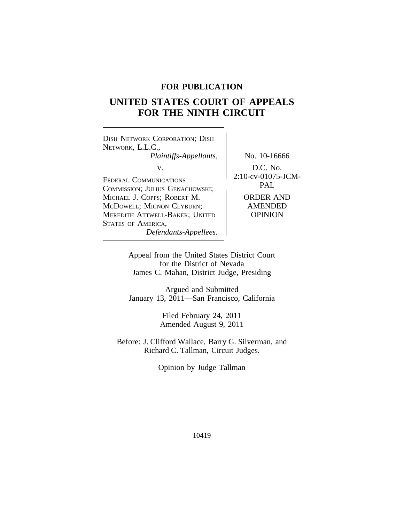# **FOR PUBLICATION**

# **UNITED STATES COURT OF APPEALS FOR THE NINTH CIRCUIT**

<sup>D</sup>ISH NETWORK CORPORATION; DISH NETWORK, L.L.C., *Plaintiffs-Appellants,* No. 10-16666 v. D.C. No. 2:10-cv-01075-JCM- <sup>F</sup>EDERAL COMMUNICATIONS PAL <sup>C</sup>OMMISSION; JULIUS GENACHOWSKI; MICHAEL J. COPPS; ROBERT M. McDowell; MIGNON CLYBURN; AMENDED MEREDITH ATTWELL-BAKER; UNITED | OPINION STATES OF AMERICA, *Defendants-Appellees.*

Appeal from the United States District Court for the District of Nevada James C. Mahan, District Judge, Presiding

Argued and Submitted January 13, 2011—San Francisco, California

> Filed February 24, 2011 Amended August 9, 2011

Before: J. Clifford Wallace, Barry G. Silverman, and Richard C. Tallman, Circuit Judges.

Opinion by Judge Tallman

10419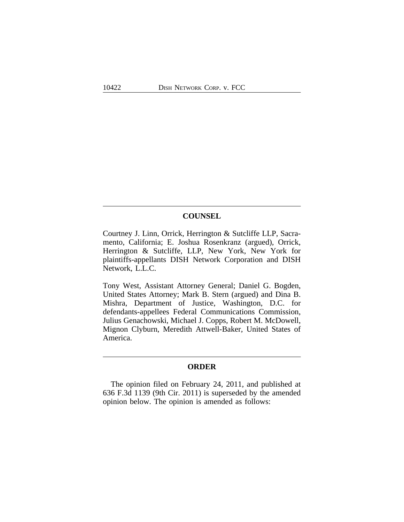# **COUNSEL**

Courtney J. Linn, Orrick, Herrington & Sutcliffe LLP, Sacramento, California; E. Joshua Rosenkranz (argued), Orrick, Herrington & Sutcliffe, LLP, New York, New York for plaintiffs-appellants DISH Network Corporation and DISH Network, L.L.C.

Tony West, Assistant Attorney General; Daniel G. Bogden, United States Attorney; Mark B. Stern (argued) and Dina B. Mishra, Department of Justice, Washington, D.C. for defendants-appellees Federal Communications Commission, Julius Genachowski, Michael J. Copps, Robert M. McDowell, Mignon Clyburn, Meredith Attwell-Baker, United States of America.

## **ORDER**

The opinion filed on February 24, 2011, and published at 636 F.3d 1139 (9th Cir. 2011) is superseded by the amended opinion below. The opinion is amended as follows: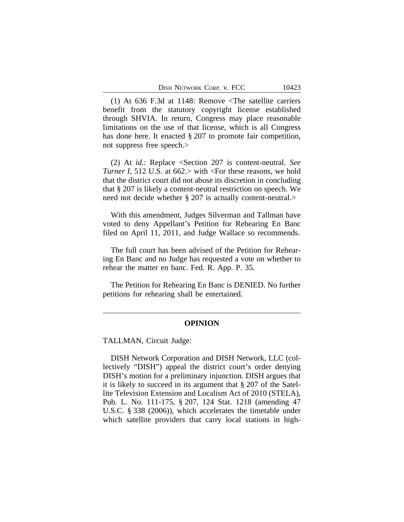(1) At 636 F.3d at 1148: Remove <The satellite carriers benefit from the statutory copyright license established through SHVIA. In return, Congress may place reasonable limitations on the use of that license, which is all Congress has done here. It enacted § 207 to promote fair competition, not suppress free speech.>

(2) At *id.*: Replace <Section 207 is content-neutral. *See Turner I*, 512 U.S. at 662.> with <For these reasons, we hold that the district court did not abuse its discretion in concluding that § 207 is likely a content-neutral restriction on speech. We need not decide whether § 207 is actually content-neutral.>

With this amendment, Judges Silverman and Tallman have voted to deny Appellant's Petition for Rehearing En Banc filed on April 11, 2011, and Judge Wallace so recommends.

The full court has been advised of the Petition for Rehearing En Banc and no Judge has requested a vote on whether to rehear the matter en banc. Fed. R. App. P. 35.

The Petition for Rehearing En Banc is DENIED. No further petitions for rehearing shall be entertained.

#### **OPINION**

TALLMAN, Circuit Judge:

DISH Network Corporation and DISH Network, LLC (collectively "DISH") appeal the district court's order denying DISH's motion for a preliminary injunction. DISH argues that it is likely to succeed in its argument that § 207 of the Satellite Television Extension and Localism Act of 2010 (STELA), Pub. L. No. 111-175, § 207, 124 Stat. 1218 (amending 47 U.S.C. § 338 (2006)), which accelerates the timetable under which satellite providers that carry local stations in high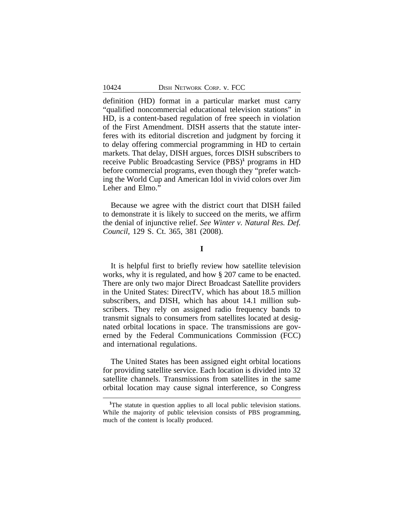definition (HD) format in a particular market must carry "qualified noncommercial educational television stations" in HD, is a content-based regulation of free speech in violation of the First Amendment. DISH asserts that the statute interferes with its editorial discretion and judgment by forcing it to delay offering commercial programming in HD to certain markets. That delay, DISH argues, forces DISH subscribers to receive Public Broadcasting Service (PBS)<sup>1</sup> programs in HD before commercial programs, even though they "prefer watching the World Cup and American Idol in vivid colors over Jim Leher and Elmo."

Because we agree with the district court that DISH failed to demonstrate it is likely to succeed on the merits, we affirm the denial of injunctive relief. *See Winter v. Natural Res. Def. Council*, 129 S. Ct. 365, 381 (2008).

#### **I**

It is helpful first to briefly review how satellite television works, why it is regulated, and how § 207 came to be enacted. There are only two major Direct Broadcast Satellite providers in the United States: DirectTV, which has about 18.5 million subscribers, and DISH, which has about 14.1 million subscribers. They rely on assigned radio frequency bands to transmit signals to consumers from satellites located at designated orbital locations in space. The transmissions are governed by the Federal Communications Commission (FCC) and international regulations.

The United States has been assigned eight orbital locations for providing satellite service. Each location is divided into 32 satellite channels. Transmissions from satellites in the same orbital location may cause signal interference, so Congress

<sup>&</sup>lt;sup>1</sup>The statute in question applies to all local public television stations. While the majority of public television consists of PBS programming, much of the content is locally produced.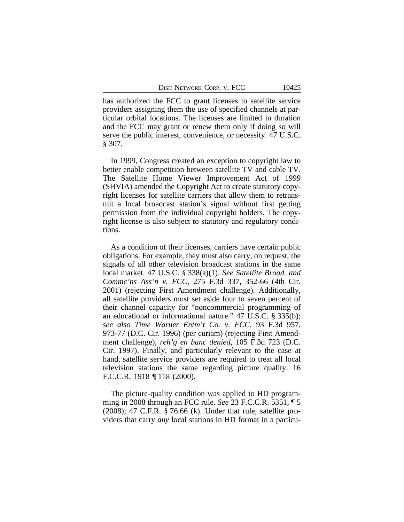has authorized the FCC to grant licenses to satellite service providers assigning them the use of specified channels at particular orbital locations. The licenses are limited in duration and the FCC may grant or renew them only if doing so will serve the public interest, convenience, or necessity. 47 U.S.C. § 307.

In 1999, Congress created an exception to copyright law to better enable competition between satellite TV and cable TV. The Satellite Home Viewer Improvement Act of 1999 (SHVIA) amended the Copyright Act to create statutory copyright licenses for satellite carriers that allow them to retransmit a local broadcast station's signal without first getting permission from the individual copyright holders. The copyright license is also subject to statutory and regulatory conditions.

As a condition of their licenses, carriers have certain public obligations. For example, they must also carry, on request, the signals of all other television broadcast stations in the same local market. 47 U.S.C. § 338(a)(1). *See Satellite Broad. and Commc'ns Ass'n v. FCC*, 275 F.3d 337, 352-66 (4th Cir. 2001) (rejecting First Amendment challenge). Additionally, all satellite providers must set aside four to seven percent of their channel capacity for "noncommercial programming of an educational or informational nature." 47 U.S.C. § 335(b); *see also Time Warner Entm't Co. v. FCC*, 93 F.3d 957, 973-77 (D.C. Cir. 1996) (per curiam) (rejecting First Amendment challenge), *reh'g en banc denied*, 105 F.3d 723 (D.C. Cir. 1997). Finally, and particularly relevant to the case at hand, satellite service providers are required to treat all local television stations the same regarding picture quality. 16 F.C.C.R. 1918 ¶ 118 (2000).

The picture-quality condition was applied to HD programming in 2008 through an FCC rule. *See* 23 F.C.C.R. 5351, ¶ 5 (2008); 47 C.F.R. § 76.66 (k). Under that rule, satellite providers that carry *any* local stations in HD format in a particu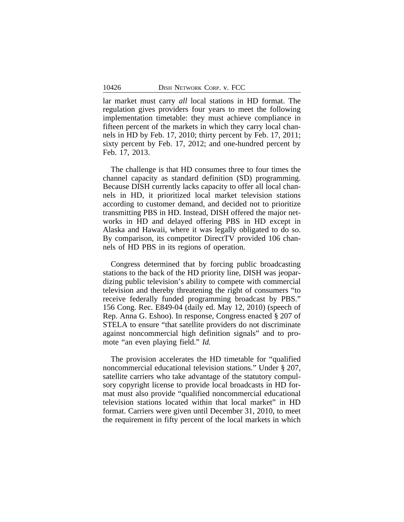lar market must carry *all* local stations in HD format. The regulation gives providers four years to meet the following implementation timetable: they must achieve compliance in fifteen percent of the markets in which they carry local channels in HD by Feb. 17, 2010; thirty percent by Feb. 17, 2011; sixty percent by Feb. 17, 2012; and one-hundred percent by Feb. 17, 2013.

The challenge is that HD consumes three to four times the channel capacity as standard definition (SD) programming. Because DISH currently lacks capacity to offer all local channels in HD, it prioritized local market television stations according to customer demand, and decided not to prioritize transmitting PBS in HD. Instead, DISH offered the major networks in HD and delayed offering PBS in HD except in Alaska and Hawaii, where it was legally obligated to do so. By comparison, its competitor DirectTV provided 106 channels of HD PBS in its regions of operation.

Congress determined that by forcing public broadcasting stations to the back of the HD priority line, DISH was jeopardizing public television's ability to compete with commercial television and thereby threatening the right of consumers "to receive federally funded programming broadcast by PBS." 156 Cong. Rec. E849-04 (daily ed. May 12, 2010) (speech of Rep. Anna G. Eshoo). In response, Congress enacted § 207 of STELA to ensure "that satellite providers do not discriminate against noncommercial high definition signals" and to promote "an even playing field." *Id.*

The provision accelerates the HD timetable for "qualified noncommercial educational television stations." Under § 207, satellite carriers who take advantage of the statutory compulsory copyright license to provide local broadcasts in HD format must also provide "qualified noncommercial educational television stations located within that local market" in HD format. Carriers were given until December 31, 2010, to meet the requirement in fifty percent of the local markets in which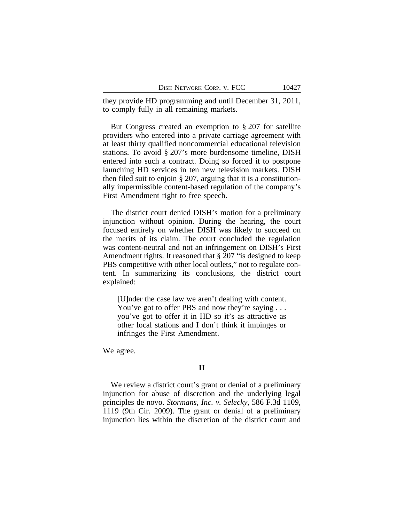they provide HD programming and until December 31, 2011, to comply fully in all remaining markets.

But Congress created an exemption to § 207 for satellite providers who entered into a private carriage agreement with at least thirty qualified noncommercial educational television stations. To avoid § 207's more burdensome timeline, DISH entered into such a contract. Doing so forced it to postpone launching HD services in ten new television markets. DISH then filed suit to enjoin § 207, arguing that it is a constitutionally impermissible content-based regulation of the company's First Amendment right to free speech.

The district court denied DISH's motion for a preliminary injunction without opinion. During the hearing, the court focused entirely on whether DISH was likely to succeed on the merits of its claim. The court concluded the regulation was content-neutral and not an infringement on DISH's First Amendment rights. It reasoned that § 207 "is designed to keep PBS competitive with other local outlets," not to regulate content. In summarizing its conclusions, the district court explained:

[U]nder the case law we aren't dealing with content. You've got to offer PBS and now they're saying . . . you've got to offer it in HD so it's as attractive as other local stations and I don't think it impinges or infringes the First Amendment.

We agree.

# **II**

We review a district court's grant or denial of a preliminary injunction for abuse of discretion and the underlying legal principles de novo. *Stormans, Inc. v. Selecky*, 586 F.3d 1109, 1119 (9th Cir. 2009). The grant or denial of a preliminary injunction lies within the discretion of the district court and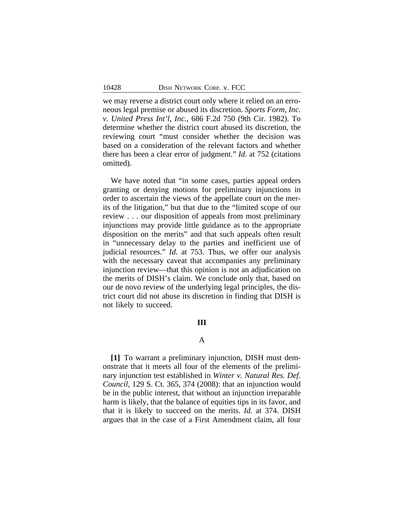we may reverse a district court only where it relied on an erroneous legal premise or abused its discretion. *Sports Form, Inc. v. United Press Int'l, Inc.*, 686 F.2d 750 (9th Cir. 1982). To determine whether the district court abused its discretion, the reviewing court "must consider whether the decision was based on a consideration of the relevant factors and whether there has been a clear error of judgment." *Id.* at 752 (citations omitted).

We have noted that "in some cases, parties appeal orders granting or denying motions for preliminary injunctions in order to ascertain the views of the appellate court on the merits of the litigation," but that due to the "limited scope of our review . . . our disposition of appeals from most preliminary injunctions may provide little guidance as to the appropriate disposition on the merits" and that such appeals often result in "unnecessary delay to the parties and inefficient use of judicial resources." *Id.* at 753. Thus, we offer our analysis with the necessary caveat that accompanies any preliminary injunction review—that this opinion is not an adjudication on the merits of DISH's claim. We conclude only that, based on our de novo review of the underlying legal principles, the district court did not abuse its discretion in finding that DISH is not likely to succeed.

# **III**

## A

**[1]** To warrant a preliminary injunction, DISH must demonstrate that it meets all four of the elements of the preliminary injunction test established in *Winter v. Natural Res. Def. Council*, 129 S. Ct. 365, 374 (2008): that an injunction would be in the public interest, that without an injunction irreparable harm is likely, that the balance of equities tips in its favor, and that it is likely to succeed on the merits. *Id.* at 374. DISH argues that in the case of a First Amendment claim, all four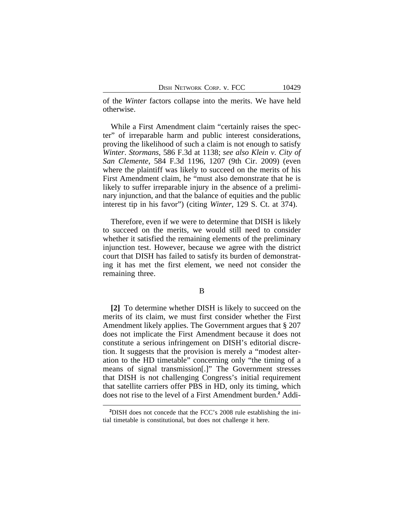of the *Winter* factors collapse into the merits. We have held otherwise.

While a First Amendment claim "certainly raises the specter" of irreparable harm and public interest considerations, proving the likelihood of such a claim is not enough to satisfy *Winter*. *Stormans,* 586 F.3d at 1138; *see also Klein v. City of San Clemente*, 584 F.3d 1196, 1207 (9th Cir. 2009) (even where the plaintiff was likely to succeed on the merits of his First Amendment claim, he "must also demonstrate that he is likely to suffer irreparable injury in the absence of a preliminary injunction, and that the balance of equities and the public interest tip in his favor") (citing *Winter*, 129 S. Ct. at 374).

Therefore, even if we were to determine that DISH is likely to succeed on the merits, we would still need to consider whether it satisfied the remaining elements of the preliminary injunction test. However, because we agree with the district court that DISH has failed to satisfy its burden of demonstrating it has met the first element, we need not consider the remaining three.

#### B

**[2]** To determine whether DISH is likely to succeed on the merits of its claim, we must first consider whether the First Amendment likely applies. The Government argues that § 207 does not implicate the First Amendment because it does not constitute a serious infringement on DISH's editorial discretion. It suggests that the provision is merely a "modest alteration to the HD timetable" concerning only "the timing of a means of signal transmission[.]" The Government stresses that DISH is not challenging Congress's initial requirement that satellite carriers offer PBS in HD, only its timing, which does not rise to the level of a First Amendment burden.**<sup>2</sup>** Addi-

**<sup>2</sup>**DISH does not concede that the FCC's 2008 rule establishing the initial timetable is constitutional, but does not challenge it here.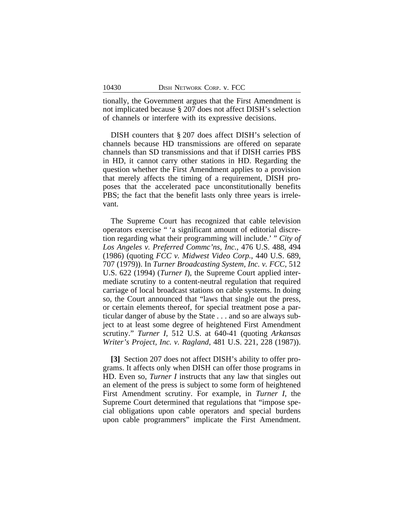tionally, the Government argues that the First Amendment is not implicated because § 207 does not affect DISH's selection of channels or interfere with its expressive decisions.

DISH counters that § 207 does affect DISH's selection of channels because HD transmissions are offered on separate channels than SD transmissions and that if DISH carries PBS in HD, it cannot carry other stations in HD. Regarding the question whether the First Amendment applies to a provision that merely affects the timing of a requirement, DISH proposes that the accelerated pace unconstitutionally benefits PBS; the fact that the benefit lasts only three years is irrelevant.

The Supreme Court has recognized that cable television operators exercise " 'a significant amount of editorial discretion regarding what their programming will include.' " *City of Los Angeles v. Preferred Commc'ns, Inc.*, 476 U.S. 488, 494 (1986) (quoting *FCC v. Midwest Video Corp.*, 440 U.S. 689, 707 (1979)). In *Turner Broadcasting System, Inc. v. FCC*, 512 U.S. 622 (1994) (*Turner I*), the Supreme Court applied intermediate scrutiny to a content-neutral regulation that required carriage of local broadcast stations on cable systems. In doing so, the Court announced that "laws that single out the press, or certain elements thereof, for special treatment pose a particular danger of abuse by the State . . . and so are always subject to at least some degree of heightened First Amendment scrutiny." *Turner I*, 512 U.S. at 640-41 (quoting *Arkansas Writer's Project, Inc. v. Ragland*, 481 U.S. 221, 228 (1987)).

**[3]** Section 207 does not affect DISH's ability to offer programs. It affects only when DISH can offer those programs in HD. Even so, *Turner I* instructs that any law that singles out an element of the press is subject to some form of heightened First Amendment scrutiny. For example, in *Turner I*, the Supreme Court determined that regulations that "impose special obligations upon cable operators and special burdens upon cable programmers" implicate the First Amendment.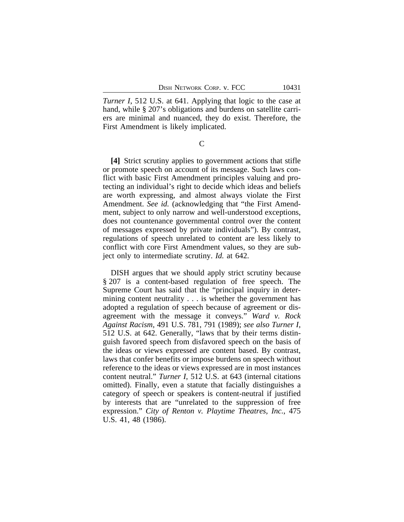*Turner I*, 512 U.S. at 641. Applying that logic to the case at hand, while § 207's obligations and burdens on satellite carriers are minimal and nuanced, they do exist. Therefore, the First Amendment is likely implicated.

C

**[4]** Strict scrutiny applies to government actions that stifle or promote speech on account of its message. Such laws conflict with basic First Amendment principles valuing and protecting an individual's right to decide which ideas and beliefs are worth expressing, and almost always violate the First Amendment. *See id.* (acknowledging that "the First Amendment, subject to only narrow and well-understood exceptions, does not countenance governmental control over the content of messages expressed by private individuals"). By contrast, regulations of speech unrelated to content are less likely to conflict with core First Amendment values, so they are subject only to intermediate scrutiny. *Id.* at 642.

DISH argues that we should apply strict scrutiny because § 207 is a content-based regulation of free speech. The Supreme Court has said that the "principal inquiry in determining content neutrality . . . is whether the government has adopted a regulation of speech because of agreement or disagreement with the message it conveys." *Ward v. Rock Against Racism*, 491 U.S. 781, 791 (1989); *see also Turner I*, 512 U.S. at 642. Generally, "laws that by their terms distinguish favored speech from disfavored speech on the basis of the ideas or views expressed are content based. By contrast, laws that confer benefits or impose burdens on speech without reference to the ideas or views expressed are in most instances content neutral." *Turner I*, 512 U.S. at 643 (internal citations omitted). Finally, even a statute that facially distinguishes a category of speech or speakers is content-neutral if justified by interests that are "unrelated to the suppression of free expression." *City of Renton v. Playtime Theatres, Inc.*, 475 U.S. 41, 48 (1986).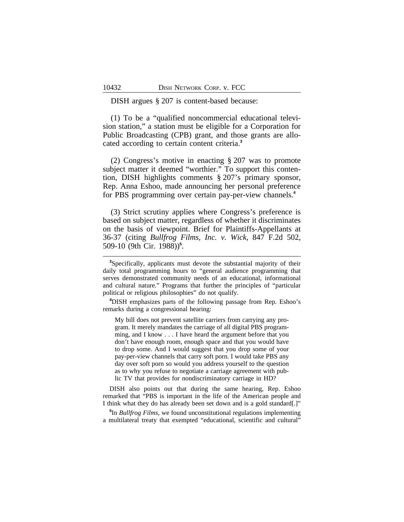#### DISH argues § 207 is content-based because:

(1) To be a "qualified noncommercial educational television station," a station must be eligible for a Corporation for Public Broadcasting (CPB) grant, and those grants are allocated according to certain content criteria.**<sup>3</sup>**

(2) Congress's motive in enacting § 207 was to promote subject matter it deemed "worthier." To support this contention, DISH highlights comments § 207's primary sponsor, Rep. Anna Eshoo, made announcing her personal preference for PBS programming over certain pay-per-view channels.**<sup>4</sup>**

(3) Strict scrutiny applies where Congress's preference is based on subject matter, regardless of whether it discriminates on the basis of viewpoint. Brief for Plaintiffs-Appellants at 36-37 (citing *Bullfrog Films, Inc. v. Wick*, 847 F.2d 502, 509-10 (9th Cir. 1988))**<sup>5</sup>** .

My bill does not prevent satellite carriers from carrying any program. It merely mandates the carriage of all digital PBS programming, and I know . . . I have heard the argument before that you don't have enough room, enough space and that you would have to drop some. And I would suggest that you drop some of your pay-per-view channels that carry soft porn. I would take PBS any day over soft porn so would you address yourself to the question as to why you refuse to negotiate a carriage agreement with public TV that provides for nondiscriminatory carriage in HD?

DISH also points out that during the same hearing, Rep. Eshoo remarked that "PBS is important in the life of the American people and I think what they do has already been set down and is a gold standard[.]"

**5** In *Bullfrog Films*, we found unconstitutional regulations implementing a multilateral treaty that exempted "educational, scientific and cultural"

**<sup>3</sup>**Specifically, applicants must devote the substantial majority of their daily total programming hours to "general audience programming that serves demonstrated community needs of an educational, informational and cultural nature." Programs that further the principles of "particular political or religious philosophies" do not qualify.

**<sup>4</sup>**DISH emphasizes parts of the following passage from Rep. Eshoo's remarks during a congressional hearing: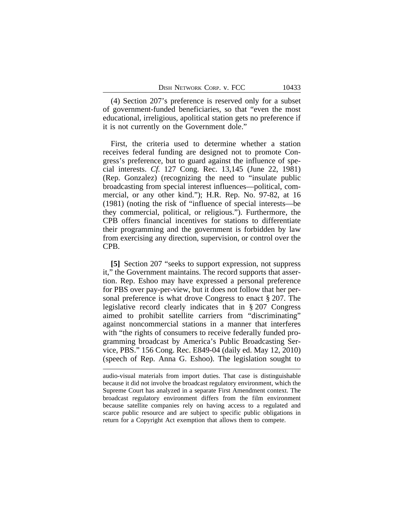(4) Section 207's preference is reserved only for a subset of government-funded beneficiaries, so that "even the most educational, irreligious, apolitical station gets no preference if it is not currently on the Government dole."

First, the criteria used to determine whether a station receives federal funding are designed not to promote Congress's preference, but to guard against the influence of special interests. *Cf.* 127 Cong. Rec. 13,145 (June 22, 1981) (Rep. Gonzalez) (recognizing the need to "insulate public broadcasting from special interest influences—political, commercial, or any other kind."); H.R. Rep. No. 97-82, at 16 (1981) (noting the risk of "influence of special interests—be they commercial, political, or religious."). Furthermore, the CPB offers financial incentives for stations to differentiate their programming and the government is forbidden by law from exercising any direction, supervision, or control over the CPB.

**[5]** Section 207 "seeks to support expression, not suppress it," the Government maintains. The record supports that assertion. Rep. Eshoo may have expressed a personal preference for PBS over pay-per-view, but it does not follow that her personal preference is what drove Congress to enact § 207. The legislative record clearly indicates that in § 207 Congress aimed to prohibit satellite carriers from "discriminating" against noncommercial stations in a manner that interferes with "the rights of consumers to receive federally funded programming broadcast by America's Public Broadcasting Service, PBS." 156 Cong. Rec. E849-04 (daily ed. May 12, 2010) (speech of Rep. Anna G. Eshoo). The legislation sought to

audio-visual materials from import duties. That case is distinguishable because it did not involve the broadcast regulatory environment, which the Supreme Court has analyzed in a separate First Amendment context. The broadcast regulatory environment differs from the film environment because satellite companies rely on having access to a regulated and scarce public resource and are subject to specific public obligations in return for a Copyright Act exemption that allows them to compete.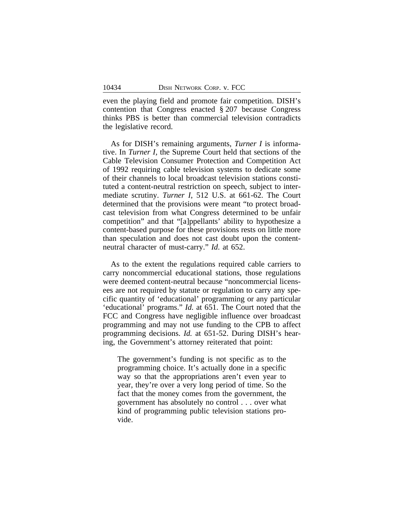even the playing field and promote fair competition. DISH's contention that Congress enacted § 207 because Congress thinks PBS is better than commercial television contradicts the legislative record.

As for DISH's remaining arguments, *Turner I* is informative. In *Turner I,* the Supreme Court held that sections of the Cable Television Consumer Protection and Competition Act of 1992 requiring cable television systems to dedicate some of their channels to local broadcast television stations constituted a content-neutral restriction on speech, subject to intermediate scrutiny. *Turner I*, 512 U.S. at 661-62. The Court determined that the provisions were meant "to protect broadcast television from what Congress determined to be unfair competition" and that "[a]ppellants' ability to hypothesize a content-based purpose for these provisions rests on little more than speculation and does not cast doubt upon the contentneutral character of must-carry." *Id*. at 652.

As to the extent the regulations required cable carriers to carry noncommercial educational stations, those regulations were deemed content-neutral because "noncommercial licensees are not required by statute or regulation to carry any specific quantity of 'educational' programming or any particular 'educational' programs." *Id.* at 651. The Court noted that the FCC and Congress have negligible influence over broadcast programming and may not use funding to the CPB to affect programming decisions. *Id.* at 651-52. During DISH's hearing, the Government's attorney reiterated that point:

The government's funding is not specific as to the programming choice. It's actually done in a specific way so that the appropriations aren't even year to year, they're over a very long period of time. So the fact that the money comes from the government, the government has absolutely no control . . . over what kind of programming public television stations provide.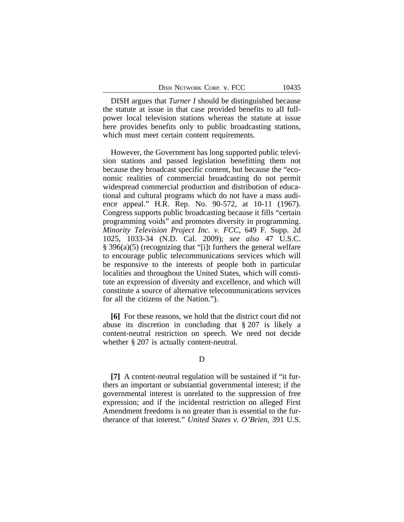DISH argues that *Turner I* should be distinguished because the statute at issue in that case provided benefits to all fullpower local television stations whereas the statute at issue here provides benefits only to public broadcasting stations, which must meet certain content requirements.

However, the Government has long supported public television stations and passed legislation benefitting them not because they broadcast specific content, but because the "economic realities of commercial broadcasting do not permit widespread commercial production and distribution of educational and cultural programs which do not have a mass audience appeal." H.R. Rep. No. 90-572, at 10-11 (1967). Congress supports public broadcasting because it fills "certain programming voids" and promotes diversity in programming. *Minority Television Project Inc. v. FCC*, 649 F. Supp. 2d 1025, 1033-34 (N.D. Cal. 2009); *see also* 47 U.S.C. § 396(a)(5) (recognizing that "[i]t furthers the general welfare to encourage public telecommunications services which will be responsive to the interests of people both in particular localities and throughout the United States, which will constitute an expression of diversity and excellence, and which will constitute a source of alternative telecommunications services for all the citizens of the Nation.").

**[6]** For these reasons, we hold that the district court did not abuse its discretion in concluding that § 207 is likely a content-neutral restriction on speech. We need not decide whether  $\S 207$  is actually content-neutral.

## D

**[7]** A content-neutral regulation will be sustained if "it furthers an important or substantial governmental interest; if the governmental interest is unrelated to the suppression of free expression; and if the incidental restriction on alleged First Amendment freedoms is no greater than is essential to the furtherance of that interest." *United States v. O'Brien*, 391 U.S.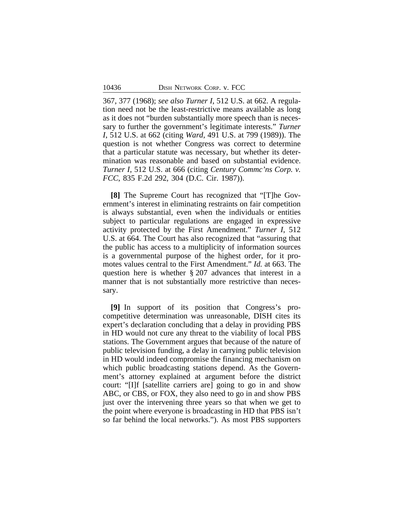367, 377 (1968); *see also Turner I*, 512 U.S. at 662. A regulation need not be the least-restrictive means available as long as it does not "burden substantially more speech than is necessary to further the government's legitimate interests." *Turner I*, 512 U.S. at 662 (citing *Ward*, 491 U.S. at 799 (1989)). The question is not whether Congress was correct to determine that a particular statute was necessary, but whether its determination was reasonable and based on substantial evidence. *Turner I*, 512 U.S. at 666 (citing *Century Commc'ns Corp. v. FCC*, 835 F.2d 292, 304 (D.C. Cir. 1987)).

**[8]** The Supreme Court has recognized that "[T]he Government's interest in eliminating restraints on fair competition is always substantial, even when the individuals or entities subject to particular regulations are engaged in expressive activity protected by the First Amendment." *Turner I*, 512 U.S. at 664. The Court has also recognized that "assuring that the public has access to a multiplicity of information sources is a governmental purpose of the highest order, for it promotes values central to the First Amendment." *Id.* at 663. The question here is whether § 207 advances that interest in a manner that is not substantially more restrictive than necessary.

**[9]** In support of its position that Congress's procompetitive determination was unreasonable, DISH cites its expert's declaration concluding that a delay in providing PBS in HD would not cure any threat to the viability of local PBS stations. The Government argues that because of the nature of public television funding, a delay in carrying public television in HD would indeed compromise the financing mechanism on which public broadcasting stations depend. As the Government's attorney explained at argument before the district court: "[I]f [satellite carriers are] going to go in and show ABC, or CBS, or FOX, they also need to go in and show PBS just over the intervening three years so that when we get to the point where everyone is broadcasting in HD that PBS isn't so far behind the local networks."). As most PBS supporters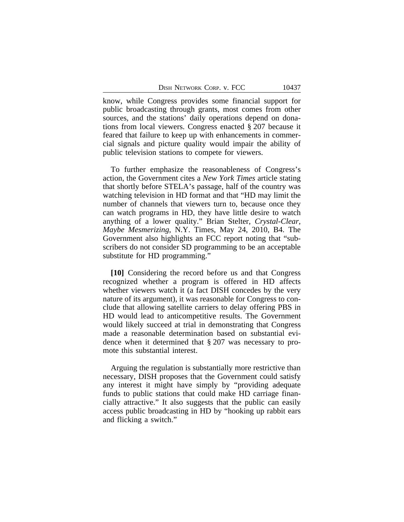know, while Congress provides some financial support for public broadcasting through grants, most comes from other sources, and the stations' daily operations depend on donations from local viewers. Congress enacted § 207 because it feared that failure to keep up with enhancements in commercial signals and picture quality would impair the ability of public television stations to compete for viewers.

To further emphasize the reasonableness of Congress's action, the Government cites a *New York Times* article stating that shortly before STELA's passage, half of the country was watching television in HD format and that "HD may limit the number of channels that viewers turn to, because once they can watch programs in HD, they have little desire to watch anything of a lower quality." Brian Stelter, *Crystal-Clear, Maybe Mesmerizing*, N.Y. Times, May 24, 2010, B4. The Government also highlights an FCC report noting that "subscribers do not consider SD programming to be an acceptable substitute for HD programming."

**[10]** Considering the record before us and that Congress recognized whether a program is offered in HD affects whether viewers watch it (a fact DISH concedes by the very nature of its argument), it was reasonable for Congress to conclude that allowing satellite carriers to delay offering PBS in HD would lead to anticompetitive results. The Government would likely succeed at trial in demonstrating that Congress made a reasonable determination based on substantial evidence when it determined that § 207 was necessary to promote this substantial interest.

Arguing the regulation is substantially more restrictive than necessary, DISH proposes that the Government could satisfy any interest it might have simply by "providing adequate funds to public stations that could make HD carriage financially attractive." It also suggests that the public can easily access public broadcasting in HD by "hooking up rabbit ears and flicking a switch."